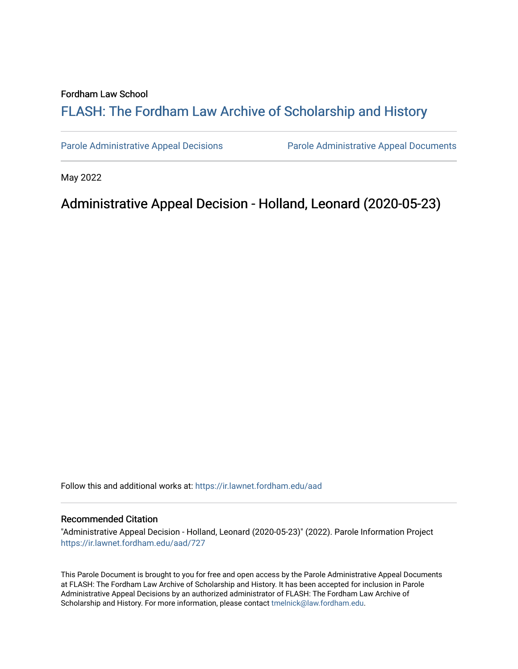#### Fordham Law School

# FLASH: The For[dham Law Archive of Scholarship and Hist](https://ir.lawnet.fordham.edu/)ory

[Parole Administrative Appeal Decisions](https://ir.lawnet.fordham.edu/aad) [Parole Administrative Appeal Documents](https://ir.lawnet.fordham.edu/ad_app_docs) 

May 2022

## Administrative Appeal Decision - Holland, Leonard (2020-05-23)

Follow this and additional works at: [https://ir.lawnet.fordham.edu/aad](https://ir.lawnet.fordham.edu/aad?utm_source=ir.lawnet.fordham.edu%2Faad%2F727&utm_medium=PDF&utm_campaign=PDFCoverPages) 

#### Recommended Citation

"Administrative Appeal Decision - Holland, Leonard (2020-05-23)" (2022). Parole Information Project [https://ir.lawnet.fordham.edu/aad/727](https://ir.lawnet.fordham.edu/aad/727?utm_source=ir.lawnet.fordham.edu%2Faad%2F727&utm_medium=PDF&utm_campaign=PDFCoverPages) 

This Parole Document is brought to you for free and open access by the Parole Administrative Appeal Documents at FLASH: The Fordham Law Archive of Scholarship and History. It has been accepted for inclusion in Parole Administrative Appeal Decisions by an authorized administrator of FLASH: The Fordham Law Archive of Scholarship and History. For more information, please contact [tmelnick@law.fordham.edu](mailto:tmelnick@law.fordham.edu).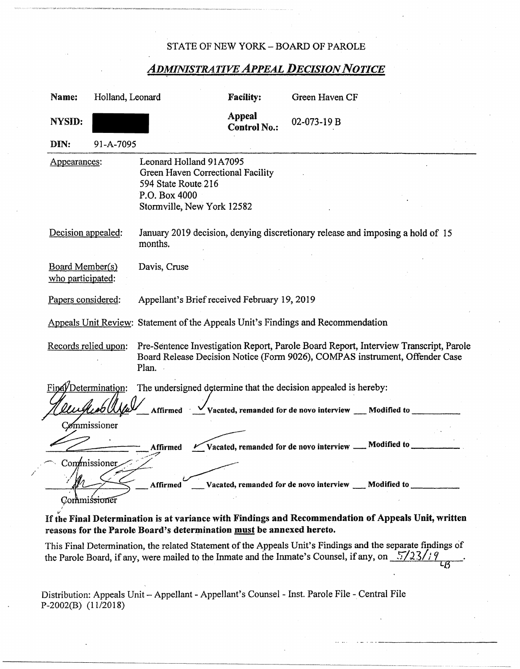#### STATE OF NEW YORK-BOARD OF PAROLE

## *ADMINISTRATIVE APPEAL DECISION NOTICE*

| Name:                                                                                   | Holland, Leonard          |                                                                                                                                                                              | <b>Facility:</b>              | Green Haven CF                                                                 |  |  |  |
|-----------------------------------------------------------------------------------------|---------------------------|------------------------------------------------------------------------------------------------------------------------------------------------------------------------------|-------------------------------|--------------------------------------------------------------------------------|--|--|--|
| <b>NYSID:</b>                                                                           |                           |                                                                                                                                                                              | Appeal<br><b>Control No.:</b> | 02-073-19 B                                                                    |  |  |  |
| DIN:                                                                                    | 91-A-7095                 |                                                                                                                                                                              |                               |                                                                                |  |  |  |
| Appearances:                                                                            |                           | Leonard Holland 91A7095<br>Green Haven Correctional Facility<br>594 State Route 216<br>P.O. Box 4000<br>Stormville, New York 12582                                           |                               |                                                                                |  |  |  |
| Decision appealed:                                                                      |                           | January 2019 decision, denying discretionary release and imposing a hold of 15<br>months.                                                                                    |                               |                                                                                |  |  |  |
| Board Member(s)<br>who participated:                                                    |                           | Davis, Cruse                                                                                                                                                                 |                               |                                                                                |  |  |  |
| Papers considered:                                                                      |                           | Appellant's Brief received February 19, 2019                                                                                                                                 |                               |                                                                                |  |  |  |
| Appeals Unit Review: Statement of the Appeals Unit's Findings and Recommendation        |                           |                                                                                                                                                                              |                               |                                                                                |  |  |  |
| Records relied upon:                                                                    |                           | Pre-Sentence Investigation Report, Parole Board Report, Interview Transcript, Parole<br>Board Release Decision Notice (Form 9026), COMPAS instrument, Offender Case<br>Plan. |                               |                                                                                |  |  |  |
| Final/Determination:<br>The undersigned determine that the decision appealed is hereby: |                           |                                                                                                                                                                              |                               |                                                                                |  |  |  |
|                                                                                         |                           |                                                                                                                                                                              |                               | Affirmed $\sqrt{V}$ Vacated, remanded for de novo interview ___ Modified to    |  |  |  |
|                                                                                         | Commissioner              |                                                                                                                                                                              |                               |                                                                                |  |  |  |
|                                                                                         |                           | Affirmed                                                                                                                                                                     |                               | $\leq$ Vacated, remanded for de novo interview $\_\_\_\$ Modified to $\_\_\_\$ |  |  |  |
| Commissioner                                                                            |                           |                                                                                                                                                                              |                               |                                                                                |  |  |  |
| Vacated, remanded for de novo interview __ Modified to<br>Affirmed                      |                           |                                                                                                                                                                              |                               |                                                                                |  |  |  |
|                                                                                         | Commis <del>sione</del> r |                                                                                                                                                                              |                               |                                                                                |  |  |  |

### If the Final Determination is **at** variance with Findings **and Recommendation of Appeals Unit, written**  reasons for the Parole Board's determination **must** be annexed hereto.

This Final Determination, the related Statement of the Appeals Unit's Findings and the separate findings of the Parole Board, if any, were mailed to the Inmate and the Inmate's Counsel, if any, on  $\frac{5}{2}$   $\frac{3}{18}$ 

Distribution: Appeals Unit - Appellant - Appellant's Counsel - Inst. Parole File - Central File P-2002(B) (11/2018)

/